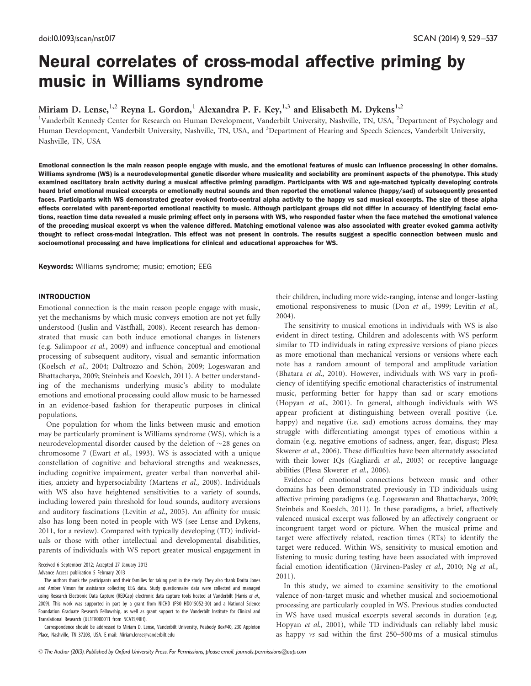# Neural correlates of cross-modal affective priming by music in Williams syndrome

## Miriam D. Lense,<sup>1,2</sup> Reyna L. Gordon,<sup>1</sup> Alexandra P. F. Key,<sup>1,3</sup> and Elisabeth M. Dykens<sup>1,2</sup>

<sup>1</sup>Vanderbilt Kennedy Center for Research on Human Development, Vanderbilt University, Nashville, TN, USA, <sup>2</sup>Department of Psychology and Human Development, Vanderbilt University, Nashville, TN, USA, and <sup>3</sup>Department of Hearing and Speech Sciences, Vanderbilt University, Nashville, TN, USA

Emotional connection is the main reason people engage with music, and the emotional features of music can influence processing in other domains. Williams syndrome (WS) is a neurodevelopmental genetic disorder where musicality and sociability are prominent aspects of the phenotype. This study examined oscillatory brain activity during a musical affective priming paradigm. Participants with WS and age-matched typically developing controls heard brief emotional musical excerpts or emotionally neutral sounds and then reported the emotional valence (happy/sad) of subsequently presented faces. Participants with WS demonstrated greater evoked fronto-central alpha activity to the happy vs sad musical excerpts. The size of these alpha effects correlated with parent-reported emotional reactivity to music. Although participant groups did not differ in accuracy of identifying facial emotions, reaction time data revealed a music priming effect only in persons with WS, who responded faster when the face matched the emotional valence of the preceding musical excerpt vs when the valence differed. Matching emotional valence was also associated with greater evoked gamma activity thought to reflect cross-modal integration. This effect was not present in controls. The results suggest a specific connection between music and socioemotional processing and have implications for clinical and educational approaches for WS.

Keywords: Williams syndrome; music; emotion; EEG

#### INTRODUCTION

Emotional connection is the main reason people engage with music, yet the mechanisms by which music conveys emotion are not yet fully understood (Juslin and Västfhäll, 2008). Recent research has demonstrated that music can both induce emotional changes in listeners (e.g. [Salimpoor](#page-7-0) et al.[, 2009\)](#page-7-0) and influence conceptual and emotional processing of subsequent auditory, visual and semantic information ([Koelsch](#page-7-0) et al., 2004; Daltrozzo and Schön, 2009; [Logeswaran and](#page-7-0) [Bhattacharya, 2009;](#page-7-0) [Steinbeis and Koeslch, 2011](#page-8-0)). A better understanding of the mechanisms underlying music's ability to modulate emotions and emotional processing could allow music to be harnessed in an evidence-based fashion for therapeutic purposes in clinical populations.

One population for whom the links between music and emotion may be particularly prominent is Williams syndrome (WS), which is a neurodevelopmental disorder caused by the deletion of  $\sim$ 28 genes on chromosome 7 (Ewart et al[., 1993\)](#page-7-0). WS is associated with a unique constellation of cognitive and behavioral strengths and weaknesses, including cognitive impairment, greater verbal than nonverbal abilities, anxiety and hypersociability ([Martens](#page-7-0) et al[., 2008\)](#page-7-0). Individuals with WS also have heightened sensitivities to a variety of sounds, including lowered pain threshold for loud sounds, auditory aversions and auditory fascinations [\(Levitin](#page-7-0) et al.[, 2005](#page-7-0)). An affinity for music also has long been noted in people with WS (see [Lense and Dykens,](#page-7-0) [2011,](#page-7-0) for a review). Compared with typically developing (TD) individuals or those with other intellectual and developmental disabilities, parents of individuals with WS report greater musical engagement in

Received 6 September 2012; Accepted 27 January 2013

Advance Access publication 5 February 2013

Correspondence should be addressed to Miriam D. Lense, Vanderbilt University, Peabody Box#40, 230 Appleton Place, Nashville, TN 37203, USA. E-mail: Miriam.lense@vanderbilt.edu

their children, including more wide-ranging, intense and longer-lasting emotional responsiveness to music (Don et al.[, 1999](#page-7-0); [Levitin](#page-7-0) et al., [2004\)](#page-7-0).

The sensitivity to musical emotions in individuals with WS is also evident in direct testing. Children and adolescents with WS perform similar to TD individuals in rating expressive versions of piano pieces as more emotional than mechanical versions or versions where each note has a random amount of temporal and amplitude variation ([Bhatara](#page-7-0) et al., 2010). However, individuals with WS vary in proficiency of identifying specific emotional characteristics of instrumental music, performing better for happy than sad or scary emotions ([Hopyan](#page-7-0) et al.[, 2001\)](#page-7-0). In general, although individuals with WS appear proficient at distinguishing between overall positive (i.e. happy) and negative (i.e. sad) emotions across domains, they may struggle with differentiating amongst types of emotions within a domain (e.g. negative emotions of sadness, anger, fear, disgust; [Plesa](#page-7-0) [Skwerer](#page-7-0) et al[., 2006](#page-7-0)). These difficulties have been alternately associated with their lower IQs [\(Gagliardi](#page-7-0) et al., 2003) or receptive language abilities [\(Plesa Skwerer](#page-7-0) et al., 2006).

Evidence of emotional connections between music and other domains has been demonstrated previously in TD individuals using affective priming paradigms (e.g. [Logeswaran and Bhattacharya, 2009](#page-7-0); [Steinbeis and Koeslch, 2011](#page-8-0)). In these paradigms, a brief, affectively valenced musical excerpt was followed by an affectively congruent or incongruent target word or picture. When the musical prime and target were affectively related, reaction times (RTs) to identify the target were reduced. Within WS, sensitivity to musical emotion and listening to music during testing have been associated with improved facial emotion identification (Järvinen-Pasley et al., 2010; [Ng](#page-7-0) [et al](#page-7-0)., [2011\)](#page-7-0).

In this study, we aimed to examine sensitivity to the emotional valence of non-target music and whether musical and socioemotional processing are particularly coupled in WS. Previous studies conducted in WS have used musical excerpts several seconds in duration (e.g. [Hopyan](#page-7-0) et al., 2001), while TD individuals can reliably label music as happy vs sad within the first 250–500 ms of a musical stimulus

The authors thank the participants and their families for taking part in the study. They also thank Dorita Jones and Amber Vinson for assistance collecting EEG data. Study questionnaire data were collected and managed using Research Electronic Data Capture (REDCap) electronic data capture tools hosted at Vanderbilt (Harris et al., 2009). This work was supported in part by a grant from NICHD (P30 HD015052-30) and a National Science Foundation Graduate Research Fellowship, as well as grant support to the Vanderbilt Institute for Clinical and Translational Research (UL1TR000011 from NCATS/NIH).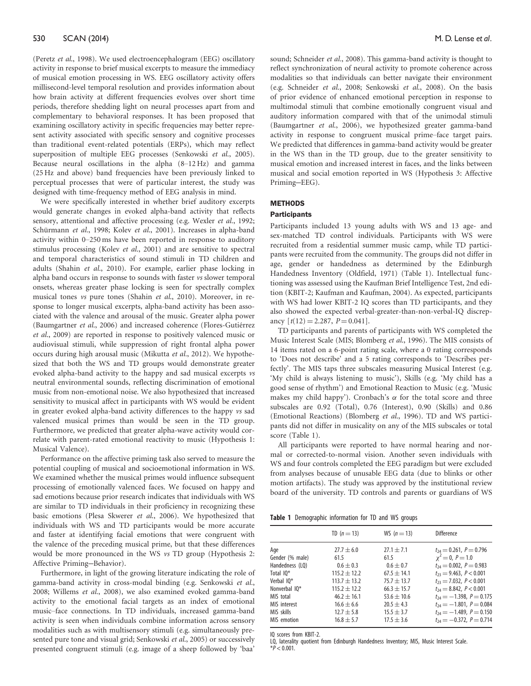[\(Peretz](#page-7-0) et al[., 1998](#page-7-0)). We used electroencephalogram (EEG) oscillatory activity in response to brief musical excerpts to measure the immediacy of musical emotion processing in WS. EEG oscillatory activity offers millisecond-level temporal resolution and provides information about how brain activity at different frequencies evolves over short time periods, therefore shedding light on neural processes apart from and complementary to behavioral responses. It has been proposed that examining oscillatory activity in specific frequencies may better represent activity associated with specific sensory and cognitive processes than traditional event-related potentials (ERPs), which may reflect superposition of multiple EEG processes ([Senkowski](#page-7-0) et al[., 2005](#page-7-0)). Because neural oscillations in the alpha (8–12 Hz) and gamma (25 Hz and above) band frequencies have been previously linked to perceptual processes that were of particular interest, the study was designed with time-frequency method of EEG analysis in mind.

We were specifically interested in whether brief auditory excerpts would generate changes in evoked alpha-band activity that reflects sensory, attentional and affective processing (e.g. [Wexler](#page-8-0) et al., 1992; Schürmann et al.[, 1998;](#page-7-0) Kolev et al[., 2001\)](#page-7-0). Increases in alpha-band activity within 0–250 ms have been reported in response to auditory stimulus processing (Kolev et al[., 2001\)](#page-7-0) and are sensitive to spectral and temporal characteristics of sound stimuli in TD children and adults [\(Shahin](#page-7-0) et al.[, 2010](#page-7-0)). For example, earlier phase locking in alpha band occurs in response to sounds with faster vs slower temporal onsets, whereas greater phase locking is seen for spectrally complex musical tones vs pure tones [\(Shahin](#page-7-0) et al., 2010). Moreover, in response to longer musical excerpts, alpha-band activity has been associated with the valence and arousal of the music. Greater alpha power [\(Baumgartner](#page-7-0) et al[., 2006](#page-7-0)) and increased coherence (Flores-Gutiérrez et al[., 2009](#page-7-0)) are reported in response to positively valenced music or audiovisual stimuli, while suppression of right frontal alpha power occurs during high arousal music [\(Mikutta](#page-7-0) et al.[, 2012\)](#page-7-0). We hypothesized that both the WS and TD groups would demonstrate greater evoked alpha-band activity to the happy and sad musical excerpts vs neutral environmental sounds, reflecting discrimination of emotional music from non-emotional noise. We also hypothesized that increased sensitivity to musical affect in participants with WS would be evident in greater evoked alpha-band activity differences to the happy vs sad valenced musical primes than would be seen in the TD group. Furthermore, we predicted that greater alpha-wave activity would correlate with parent-rated emotional reactivity to music (Hypothesis 1: Musical Valence).

Performance on the affective priming task also served to measure the potential coupling of musical and socioemotional information in WS. We examined whether the musical primes would influence subsequent processing of emotionally valenced faces. We focused on happy and sad emotions because prior research indicates that individuals with WS are similar to TD individuals in their proficiency in recognizing these basic emotions ([Plesa Skwerer](#page-7-0) et al., 2006). We hypothesized that individuals with WS and TD participants would be more accurate and faster at identifying facial emotions that were congruent with the valence of the preceding musical prime, but that these differences would be more pronounced in the WS vs TD group (Hypothesis 2: Affective Priming-Behavior).

Furthermore, in light of the growing literature indicating the role of gamma-band activity in cross-modal binding (e.g. [Senkowski](#page-7-0) et al., [2008](#page-7-0); [Willems](#page-8-0) et al., 2008), we also examined evoked gamma-band activity to the emotional facial targets as an index of emotional music–face connections. In TD individuals, increased gamma-band activity is seen when individuals combine information across sensory modalities such as with multisensory stimuli (e.g. simultaneously presented pure tone and visual grid; [Senkowski](#page-7-0) et al., 2005) or successively presented congruent stimuli (e.g. image of a sheep followed by 'baa'

sound; [Schneider](#page-7-0) et al.[, 2008\)](#page-7-0). This gamma-band activity is thought to reflect synchronization of neural activity to promote coherence across modalities so that individuals can better navigate their environment (e.g. [Schneider](#page-7-0) et al., 2008; [Senkowski](#page-7-0) et al., 2008). On the basis of prior evidence of enhanced emotional perception in response to multimodal stimuli that combine emotionally congruent visual and auditory information compared with that of the unimodal stimuli [\(Baumgartner](#page-7-0) et al., 2006), we hypothesized greater gamma-band activity in response to congruent musical prime–face target pairs. We predicted that differences in gamma-band activity would be greater in the WS than in the TD group, due to the greater sensitivity to musical emotion and increased interest in faces, and the links between musical and social emotion reported in WS (Hypothesis 3: Affective Priming-EEG).

## **METHODS**

## **Participants**

Participants included 13 young adults with WS and 13 age- and sex-matched TD control individuals. Participants with WS were recruited from a residential summer music camp, while TD participants were recruited from the community. The groups did not differ in age, gender or handedness as determined by the Edinburgh Handedness Inventory ([Oldfield, 1971\)](#page-7-0) (Table 1). Intellectual functioning was assessed using the Kaufman Brief Intelligence Test, 2nd edition (KBIT-2; [Kaufman and Kaufman, 2004](#page-7-0)). As expected, participants with WS had lower KBIT-2 IQ scores than TD participants, and they also showed the expected verbal-greater-than-non-verbal-IQ discrepancy  $[t(12) = 2.287, P = 0.041].$ 

TD participants and parents of participants with WS completed the Music Interest Scale (MIS; [Blomberg](#page-7-0) et al[., 1996\)](#page-7-0). The MIS consists of 14 items rated on a 6-point rating scale, where a 0 rating corresponds to 'Does not describe' and a 5 rating corresponds to 'Describes perfectly'. The MIS taps three subscales measuring Musical Interest (e.g. 'My child is always listening to music'), Skills (e.g. 'My child has a good sense of rhythm') and Emotional Reaction to Music (e.g. 'Music makes my child happy'). Cronbach's  $\alpha$  for the total score and three subscales are 0.92 (Total), 0.76 (Interest), 0.90 (Skills) and 0.86 (Emotional Reactions) [\(Blomberg](#page-7-0) et al., 1996). TD and WS participants did not differ in musicality on any of the MIS subscales or total score (Table 1).

All participants were reported to have normal hearing and normal or corrected-to-normal vision. Another seven individuals with WS and four controls completed the EEG paradigm but were excluded from analyses because of unusable EEG data (due to blinks or other motion artifacts). The study was approved by the institutional review board of the university. TD controls and parents or guardians of WS

| Table 1 Demographic information for TD and WS groups |
|------------------------------------------------------|
|------------------------------------------------------|

| $t_{24} = 0.261, P = 0.796$<br>$27.1 + 7.1$<br>$27.7 + 6.0$<br>Age<br>$\chi^2 = 0$ , $P = 1.0$<br>Gender (% male)<br>61.5<br>61.5<br>$t_{24} = 0.002$ , $P = 0.983$<br>Handedness (LO)<br>$0.6 + 0.3$<br>$0.6 + 0.7$<br>$t_{23} = 9.463$ , $P < 0.001$<br>Total 10*<br>$115.2 + 12.2$<br>$67.5 + 14.1$<br>$t_{23} = 7.032, P < 0.001$<br>Verbal 10 <sup>*</sup><br>$113.7 + 13.2$<br>$75.7 + 13.7$<br>$t_{24} = 8.842, P < 0.001$<br>Nonverbal IO*<br>$115.2 + 12.2$<br>$66.3 + 15.7$<br>$t_{24} = -1.398, P = 0.175$<br>MIS total<br>$46.2 + 16.1$<br>$53.6 + 10.6$<br>$t_{24} = -1.801, P = 0.084$<br>MIS interest<br>$16.6 + 6.6$<br>$20.5 + 4.3$<br>MIS skills<br>$t_{24} = -1.489, P = 0.150$<br>$12.7 + 5.8$<br>$15.5 + 3.7$<br>$t_{24} = -0.372$ , $P = 0.714$<br>MIS emotion<br>$16.8 \pm 5.7$<br>$17.5 + 3.6$ | TD $(n=13)$ | WS $(n = 13)$ | Difference |
|------------------------------------------------------------------------------------------------------------------------------------------------------------------------------------------------------------------------------------------------------------------------------------------------------------------------------------------------------------------------------------------------------------------------------------------------------------------------------------------------------------------------------------------------------------------------------------------------------------------------------------------------------------------------------------------------------------------------------------------------------------------------------------------------------------------------|-------------|---------------|------------|
|                                                                                                                                                                                                                                                                                                                                                                                                                                                                                                                                                                                                                                                                                                                                                                                                                        |             |               |            |

IQ scores from KBIT-2.

LQ, laterality quotient from Edinburgh Handedness Inventory; MIS, Music Interest Scale.

 $*P < 0.001$ .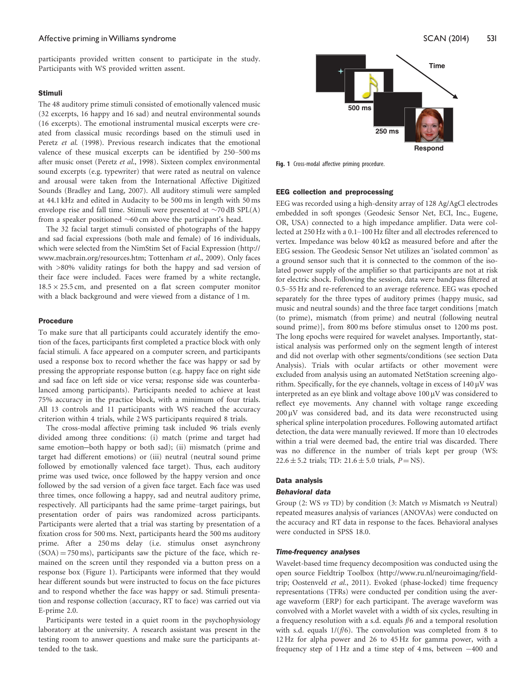## Affective priming in Williams syndrome SCAN (2014) 531

participants provided written consent to participate in the study. Participants with WS provided written assent.

#### Stimuli

The 48 auditory prime stimuli consisted of emotionally valenced music (32 excerpts, 16 happy and 16 sad) and neutral environmental sounds (16 excerpts). The emotional instrumental musical excerpts were created from classical music recordings based on the stimuli used in Peretz et al[. \(1998\).](#page-7-0) Previous research indicates that the emotional valence of these musical excerpts can be identified by 250–500 ms after music onset (Peretz et al[., 1998](#page-7-0)). Sixteen complex environmental sound excerpts (e.g. typewriter) that were rated as neutral on valence and arousal were taken from the International Affective Digitized Sounds ([Bradley and Lang, 2007](#page-7-0)). All auditory stimuli were sampled at 44.1 kHz and edited in Audacity to be 500 ms in length with 50 ms envelope rise and fall time. Stimuli were presented at  $\sim$ 70 dB SPL(A) from a speaker positioned  $\sim$ 60 cm above the participant's head.

The 32 facial target stimuli consisted of photographs of the happy and sad facial expressions (both male and female) of 16 individuals, which were selected from the NimStim Set of Facial Expression [\(http://](http://www.macbrain.org/resources.htm) [www.macbrain.org/resources.htm;](http://www.macbrain.org/resources.htm) [Tottenham](#page-8-0) et al., 2009). Only faces with >80% validity ratings for both the happy and sad version of their face were included. Faces were framed by a white rectangle,  $18.5 \times 25.5$  cm, and presented on a flat screen computer monitor with a black background and were viewed from a distance of 1 m.

## Procedure

To make sure that all participants could accurately identify the emotion of the faces, participants first completed a practice block with only facial stimuli. A face appeared on a computer screen, and participants used a response box to record whether the face was happy or sad by pressing the appropriate response button (e.g. happy face on right side and sad face on left side or vice versa; response side was counterbalanced among participants). Participants needed to achieve at least 75% accuracy in the practice block, with a minimum of four trials. All 13 controls and 11 participants with WS reached the accuracy criterion within 4 trials, while 2 WS participants required 8 trials.

The cross-modal affective priming task included 96 trials evenly divided among three conditions: (i) match (prime and target had same emotion-both happy or both sad); (ii) mismatch (prime and target had different emotions) or (iii) neutral (neutral sound prime followed by emotionally valenced face target). Thus, each auditory prime was used twice, once followed by the happy version and once followed by the sad version of a given face target. Each face was used three times, once following a happy, sad and neutral auditory prime, respectively. All participants had the same prime–target pairings, but presentation order of pairs was randomized across participants. Participants were alerted that a trial was starting by presentation of a fixation cross for 500 ms. Next, participants heard the 500 ms auditory prime. After a 250 ms delay (i.e. stimulus onset asynchrony  $(SOA) = 750$  ms), participants saw the picture of the face, which remained on the screen until they responded via a button press on a response box (Figure 1). Participants were informed that they would hear different sounds but were instructed to focus on the face pictures and to respond whether the face was happy or sad. Stimuli presentation and response collection (accuracy, RT to face) was carried out via E-prime 2.0.

Participants were tested in a quiet room in the psychophysiology laboratory at the university. A research assistant was present in the testing room to answer questions and make sure the participants attended to the task.



Fig. 1 Cross-modal affective priming procedure.

#### EEG collection and preprocessing

EEG was recorded using a high-density array of 128 Ag/AgCl electrodes embedded in soft sponges (Geodesic Sensor Net, ECI, Inc., Eugene, OR, USA) connected to a high impedance amplifier. Data were collected at 250 Hz with a 0.1–100 Hz filter and all electrodes referenced to vertex. Impedance was below 40 k $\Omega$  as measured before and after the EEG session. The Geodesic Sensor Net utilizes an 'isolated common' as a ground sensor such that it is connected to the common of the isolated power supply of the amplifier so that participants are not at risk for electric shock. Following the session, data were bandpass filtered at 0.5–55 Hz and re-referenced to an average reference. EEG was epoched separately for the three types of auditory primes (happy music, sad music and neutral sounds) and the three face target conditions [match (to prime), mismatch (from prime) and neutral (following neutral sound prime)], from 800 ms before stimulus onset to 1200 ms post. The long epochs were required for wavelet analyses. Importantly, statistical analysis was performed only on the segment length of interest and did not overlap with other segments/conditions (see section Data Analysis). Trials with ocular artifacts or other movement were excluded from analysis using an automated NetStation screening algorithm. Specifically, for the eye channels, voltage in excess of  $140 \mu V$  was interpreted as an eye blink and voltage above  $100 \mu V$  was considered to reflect eye movements. Any channel with voltage range exceeding  $200 \mu V$  was considered bad, and its data were reconstructed using spherical spline interpolation procedures. Following automated artifact detection, the data were manually reviewed. If more than 10 electrodes within a trial were deemed bad, the entire trial was discarded. There was no difference in the number of trials kept per group (WS:  $22.6 \pm 5.2$  trials; TD:  $21.6 \pm 5.0$  trials,  $P = NS$ ).

#### Data analysis

## Behavioral data

Group (2: WS vs TD) by condition (3: Match vs Mismatch vs Neutral) repeated measures analysis of variances (ANOVAs) were conducted on the accuracy and RT data in response to the faces. Behavioral analyses were conducted in SPSS 18.0.

## Time-frequency analyses

Wavelet-based time frequency decomposition was conducted using the open source Fieldtrip Toolbox [\(http://www.ru.nl/neuroimaging/field](http://www.ru.nl/neuroimaging/fieldtrip)[trip;](http://www.ru.nl/neuroimaging/fieldtrip) [Oostenveld](#page-7-0) et al.[, 2011\)](#page-7-0). Evoked (phase-locked) time frequency representations (TFRs) were conducted per condition using the average waveform (ERP) for each participant. The average waveform was convolved with a Morlet wavelet with a width of six cycles, resulting in a frequency resolution with a s.d. equals f/6 and a temporal resolution with s.d. equals  $1/(\frac{f}{6})$ . The convolution was completed from 8 to 12 Hz for alpha power and 26 to 45 Hz for gamma power, with a frequency step of  $1 \text{ Hz}$  and a time step of  $4 \text{ ms}$ , between  $-400$  and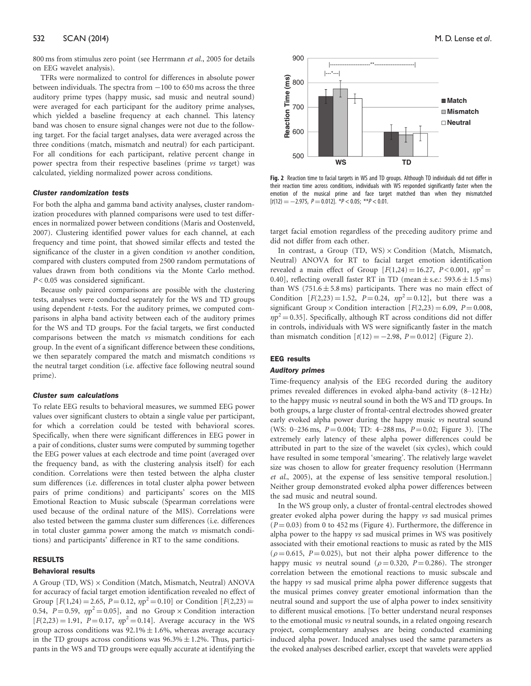800 ms from stimulus zero point (see [Herrmann](#page-7-0) et al., 2005 for details on EEG wavelet analysis).

TFRs were normalized to control for differences in absolute power between individuals. The spectra from  $-100$  to 650 ms across the three auditory prime types (happy music, sad music and neutral sound) were averaged for each participant for the auditory prime analyses, which yielded a baseline frequency at each channel. This latency band was chosen to ensure signal changes were not due to the following target. For the facial target analyses, data were averaged across the three conditions (match, mismatch and neutral) for each participant. For all conditions for each participant, relative percent change in power spectra from their respective baselines (prime vs target) was calculated, yielding normalized power across conditions.

## Cluster randomization tests

For both the alpha and gamma band activity analyses, cluster randomization procedures with planned comparisons were used to test differences in normalized power between conditions [\(Maris and Oostenveld,](#page-7-0) [2007](#page-7-0)). Clustering identified power values for each channel, at each frequency and time point, that showed similar effects and tested the significance of the cluster in a given condition vs another condition, compared with clusters computed from 2500 random permutations of values drawn from both conditions via the Monte Carlo method.  $P < 0.05$  was considered significant.

Because only paired comparisons are possible with the clustering tests, analyses were conducted separately for the WS and TD groups using dependent t-tests. For the auditory primes, we computed comparisons in alpha band activity between each of the auditory primes for the WS and TD groups. For the facial targets, we first conducted comparisons between the match vs mismatch conditions for each group. In the event of a significant difference between these conditions, we then separately compared the match and mismatch conditions vs the neutral target condition (i.e. affective face following neutral sound prime).

### Cluster sum calculations

To relate EEG results to behavioral measures, we summed EEG power values over significant clusters to obtain a single value per participant, for which a correlation could be tested with behavioral scores. Specifically, when there were significant differences in EEG power in a pair of conditions, cluster sums were computed by summing together the EEG power values at each electrode and time point (averaged over the frequency band, as with the clustering analysis itself) for each condition. Correlations were then tested between the alpha cluster sum differences (i.e. differences in total cluster alpha power between pairs of prime conditions) and participants' scores on the MIS Emotional Reaction to Music subscale (Spearman correlations were used because of the ordinal nature of the MIS). Correlations were also tested between the gamma cluster sum differences (i.e. differences in total cluster gamma power among the match vs mismatch conditions) and participants' difference in RT to the same conditions.

## RESULTS

## Behavioral results

A Group (TD, WS)  $\times$  Condition (Match, Mismatch, Neutral) ANOVA for accuracy of facial target emotion identification revealed no effect of Group  $[F(1,24) = 2.65, P = 0.12, \eta p^2 = 0.10]$  or Condition  $[F(2,23) =$ 0.54,  $P = 0.59$ ,  $np^2 = 0.05$ , and no Group  $\times$  Condition interaction  $[F(2,23) = 1.91, P = 0.17, \eta p^2 = 0.14]$ . Average accuracy in the WS group across conditions was  $92.1\% \pm 1.6\%$ , whereas average accuracy in the TD groups across conditions was  $96.3\% \pm 1.2\%$ . Thus, participants in the WS and TD groups were equally accurate at identifying the



Fig. 2 Reaction time to facial targets in WS and TD groups. Although TD individuals did not differ in their reaction time across conditions, individuals with WS responded significantly faster when the emotion of the musical prime and face target matched than when they mismatched  $[t(12) = -2.975, P = 0.012]$ . \* $P < 0.05$ ; \*\* $P < 0.01$ .

target facial emotion regardless of the preceding auditory prime and did not differ from each other.

In contrast, a Group (TD, WS)  $\times$  Condition (Match, Mismatch, Neutral) ANOVA for RT to facial target emotion identification revealed a main effect of Group  $[F(1,24) = 16.27, P < 0.001, \eta p^2 =$ 0.40], reflecting overall faster RT in TD (mean  $\pm$  s.e.: 593.6  $\pm$  1.5 ms) than WS (751.6  $\pm$  5.8 ms) participants. There was no main effect of Condition  $[F(2,23) = 1.52, P = 0.24, \eta p^2 = 0.12]$ , but there was a significant Group  $\times$  Condition interaction [ $F(2,23) = 6.09$ ,  $P = 0.008$ ,  $\eta p^2 = 0.35$ ]. Specifically, although RT across conditions did not differ in controls, individuals with WS were significantly faster in the match than mismatch condition  $[t(12) = -2.98, P = 0.012]$  (Figure 2).

## EEG results

## Auditory primes

Time-frequency analysis of the EEG recorded during the auditory primes revealed differences in evoked alpha-band activity (8–12 Hz) to the happy music vs neutral sound in both the WS and TD groups. In both groups, a large cluster of frontal-central electrodes showed greater early evoked alpha power during the happy music vs neutral sound (WS: 0–236 ms,  $P = 0.004$ ; TD: 4–288 ms,  $P = 0.02$ ; Figure 3). [The extremely early latency of these alpha power differences could be attributed in part to the size of the wavelet (six cycles), which could have resulted in some temporal 'smearing'. The relatively large wavelet size was chosen to allow for greater frequency resolution ([Herrmann](#page-7-0) et al[., 2005](#page-7-0)), at the expense of less sensitive temporal resolution.] Neither group demonstrated evoked alpha power differences between the sad music and neutral sound.

In the WS group only, a cluster of frontal-central electrodes showed greater evoked alpha power during the happy vs sad musical primes  $(P = 0.03)$  from 0 to 452 ms (Figure 4). Furthermore, the difference in alpha power to the happy vs sad musical primes in WS was positively associated with their emotional reactions to music as rated by the MIS ( $\rho$  = 0.615, P = 0.025), but not their alpha power difference to the happy music vs neutral sound ( $\rho = 0.320$ ,  $P = 0.286$ ). The stronger correlation between the emotional reactions to music subscale and the happy vs sad musical prime alpha power difference suggests that the musical primes convey greater emotional information than the neutral sound and support the use of alpha power to index sensitivity to different musical emotions. [To better understand neural responses to the emotional music vs neutral sounds, in a related ongoing research project, complementary analyses are being conducted examining induced alpha power. Induced analyses used the same parameters as the evoked analyses described earlier, except that wavelets were applied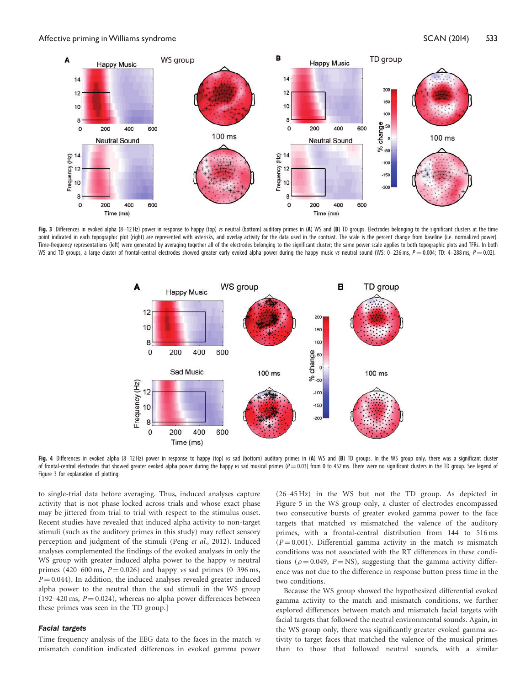

Fig. 3 Differences in evoked alpha (8-12 Hz) power in response to happy (top) vs neutral (bottom) auditory primes in (A) WS and (B) TD groups. Electrodes belonging to the significant clusters at the time point indicated in each topographic plot (right) are represented with asterisks, and overlay activity for the data used in the contrast. The scale is the percent change from baseline (i.e. normalized power). Time-frequency representations (left) were generated by averaging together all of the electrodes belonging to the significant cluster; the same power scale applies to both topographic plots and TFRs. In both WS and TD groups, a large cluster of frontal-central electrodes showed greater early evoked alpha power during the happy music vs neutral sound (WS: 0-236 ms,  $P = 0.004$ ; TD: 4-288 ms,  $P = 0.02$ ).



Fig. 4 Differences in evoked alpha (8-12 Hz) power in response to happy (top) vs sad (bottom) auditory primes in (A) WS and (B) TD groups. In the WS group only, there was a significant cluster of frontal-central electrodes that showed greater evoked alpha power during the happy vs sad musical primes ( $P = 0.03$ ) from 0 to 452 ms. There were no significant clusters in the TD group. See legend of Figure 3 for explanation of plotting.

to single-trial data before averaging. Thus, induced analyses capture activity that is not phase locked across trials and whose exact phase may be jittered from trial to trial with respect to the stimulus onset. Recent studies have revealed that induced alpha activity to non-target stimuli (such as the auditory primes in this study) may reflect sensory perception and judgment of the stimuli (Peng et al.[, 2012\)](#page-7-0). Induced analyses complemented the findings of the evoked analyses in only the WS group with greater induced alpha power to the happy  $\nu s$  neutral primes (420–600 ms,  $P = 0.026$ ) and happy vs sad primes (0–396 ms,  $P = 0.044$ ). In addition, the induced analyses revealed greater induced alpha power to the neutral than the sad stimuli in the WS group (192–420 ms,  $P = 0.024$ ), whereas no alpha power differences between these primes was seen in the TD group.]

### Facial targets

Time frequency analysis of the EEG data to the faces in the match vs mismatch condition indicated differences in evoked gamma power (26–45 Hz) in the WS but not the TD group. As depicted in Figure 5 in the WS group only, a cluster of electrodes encompassed two consecutive bursts of greater evoked gamma power to the face targets that matched vs mismatched the valence of the auditory primes, with a frontal-central distribution from 144 to 516 ms  $(P = 0.001)$ . Differential gamma activity in the match vs mismatch conditions was not associated with the RT differences in these conditions ( $\rho = 0.049$ ,  $P = NS$ ), suggesting that the gamma activity difference was not due to the difference in response button press time in the two conditions.

Because the WS group showed the hypothesized differential evoked gamma activity to the match and mismatch conditions, we further explored differences between match and mismatch facial targets with facial targets that followed the neutral environmental sounds. Again, in the WS group only, there was significantly greater evoked gamma activity to target faces that matched the valence of the musical primes than to those that followed neutral sounds, with a similar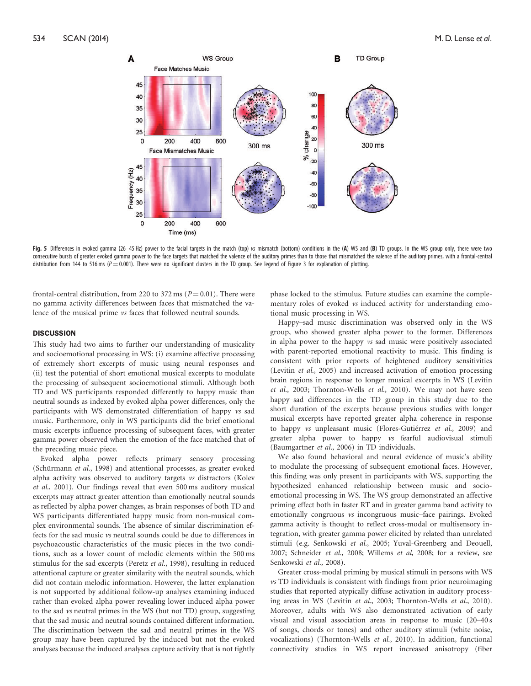

Fig. 5 Differences in evoked gamma (26-45 Hz) power to the facial targets in the match (top) vs mismatch (bottom) conditions in the (A) WS and (B) TD groups. In the WS group only, there were two consecutive bursts of greater evoked gamma power to the face targets that matched the valence of the auditory primes than to those that mismatched the valence of the auditory primes, with a frontal-central distribution from 144 to 516 ms ( $P = 0.001$ ). There were no significant clusters in the TD group. See legend of Figure 3 for explanation of plotting.

frontal-central distribution, from 220 to 372 ms ( $P = 0.01$ ). There were no gamma activity differences between faces that mismatched the valence of the musical prime vs faces that followed neutral sounds.

## **DISCUSSION**

This study had two aims to further our understanding of musicality and socioemotional processing in WS: (i) examine affective processing of extremely short excerpts of music using neural responses and (ii) test the potential of short emotional musical excerpts to modulate the processing of subsequent socioemotional stimuli. Although both TD and WS participants responded differently to happy music than neutral sounds as indexed by evoked alpha power differences, only the participants with WS demonstrated differentiation of happy vs sad music. Furthermore, only in WS participants did the brief emotional music excerpts influence processing of subsequent faces, with greater gamma power observed when the emotion of the face matched that of the preceding music piece.

Evoked alpha power reflects primary sensory processing (Schürmann et al., 1998) and attentional processes, as greater evoked alpha activity was observed to auditory targets vs distractors [\(Kolev](#page-7-0) et al[., 2001](#page-7-0)). Our findings reveal that even 500 ms auditory musical excerpts may attract greater attention than emotionally neutral sounds as reflected by alpha power changes, as brain responses of both TD and WS participants differentiated happy music from non-musical complex environmental sounds. The absence of similar discrimination effects for the sad music vs neutral sounds could be due to differences in psychoacoustic characteristics of the music pieces in the two conditions, such as a lower count of melodic elements within the 500 ms stimulus for the sad excerpts [\(Peretz](#page-7-0) et al[., 1998\)](#page-7-0), resulting in reduced attentional capture or greater similarity with the neutral sounds, which did not contain melodic information. However, the latter explanation is not supported by additional follow-up analyses examining induced rather than evoked alpha power revealing lower induced alpha power to the sad vs neutral primes in the WS (but not TD) group, suggesting that the sad music and neutral sounds contained different information. The discrimination between the sad and neutral primes in the WS group may have been captured by the induced but not the evoked analyses because the induced analyses capture activity that is not tightly phase locked to the stimulus. Future studies can examine the complementary roles of evoked vs induced activity for understanding emotional music processing in WS.

Happy–sad music discrimination was observed only in the WS group, who showed greater alpha power to the former. Differences in alpha power to the happy vs sad music were positively associated with parent-reported emotional reactivity to music. This finding is consistent with prior reports of heightened auditory sensitivities [\(Levitin](#page-7-0) et al., 2005) and increased activation of emotion processing brain regions in response to longer musical excerpts in WS ([Levitin](#page-7-0) et al[., 2003](#page-7-0); [Thornton-Wells](#page-8-0) et al., 2010). We may not have seen happy–sad differences in the TD group in this study due to the short duration of the excerpts because previous studies with longer musical excerpts have reported greater alpha coherence in response to happy vs unpleasant music (Flores-Gutiérrez et al., 2009) and greater alpha power to happy vs fearful audiovisual stimuli [\(Baumgartner](#page-7-0) et al., 2006) in TD individuals.

We also found behavioral and neural evidence of music's ability to modulate the processing of subsequent emotional faces. However, this finding was only present in participants with WS, supporting the hypothesized enhanced relationship between music and socioemotional processing in WS. The WS group demonstrated an affective priming effect both in faster RT and in greater gamma band activity to emotionally congruous vs incongruous music–face pairings. Evoked gamma activity is thought to reflect cross-modal or multisensory integration, with greater gamma power elicited by related than unrelated stimuli (e.g. [Senkowski](#page-7-0) et al., 2005; [Yuval-Greenberg and Deouell,](#page-8-0) [2007;](#page-8-0) [Schneider](#page-7-0) et al., 2008; [Willems](#page-8-0) et al, 2008; for a review, see [Senkowski](#page-7-0) et al., 2008).

Greater cross-modal priming by musical stimuli in persons with WS vs TD individuals is consistent with findings from prior neuroimaging studies that reported atypically diffuse activation in auditory process-ing areas in WS (Levitin et al[., 2003;](#page-7-0) [Thornton-Wells](#page-8-0) et al., 2010). Moreover, adults with WS also demonstrated activation of early visual and visual association areas in response to music (20–40 s of songs, chords or tones) and other auditory stimuli (white noise, vocalizations) [\(Thornton-Wells](#page-8-0) et al., 2010). In addition, functional connectivity studies in WS report increased anisotropy (fiber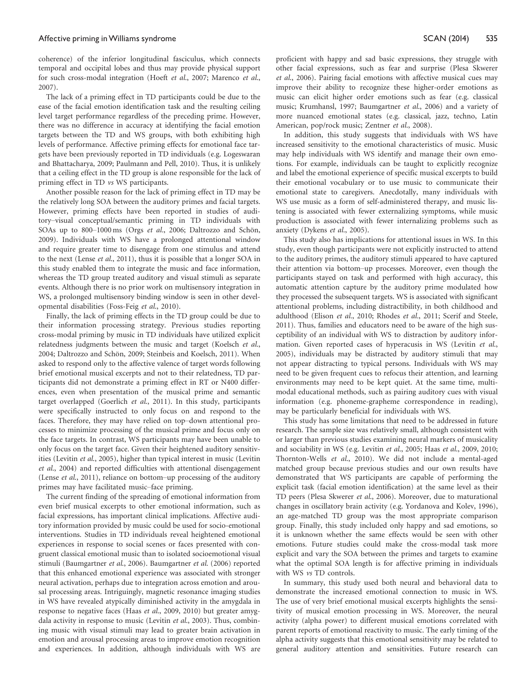coherence) of the inferior longitudinal fasciculus, which connects temporal and occipital lobes and thus may provide physical support for such cross-modal integration (Hoeft et al[., 2007](#page-7-0); [Marenco](#page-7-0) et al., [2007\)](#page-7-0).

The lack of a priming effect in TD participants could be due to the ease of the facial emotion identification task and the resulting ceiling level target performance regardless of the preceding prime. However, there was no difference in accuracy at identifying the facial emotion targets between the TD and WS groups, with both exhibiting high levels of performance. Affective priming effects for emotional face targets have been previously reported in TD individuals (e.g. [Logeswaran](#page-7-0) [and Bhattacharya, 2009](#page-7-0); [Paulmann and Pell, 2010\)](#page-7-0). Thus, it is unlikely that a ceiling effect in the TD group is alone responsible for the lack of priming effect in TD vs WS participants.

Another possible reason for the lack of priming effect in TD may be the relatively long SOA between the auditory primes and facial targets. However, priming effects have been reported in studies of auditory–visual conceptual/semantic priming in TD individuals with SOAs up to 800-1000 ms [\(Orgs](#page-7-0) et al.[, 2006](#page-7-0); Daltrozzo and Schön, [2009\)](#page-7-0). Individuals with WS have a prolonged attentional window and require greater time to disengage from one stimulus and attend to the next ([Lense](#page-7-0) et al[., 2011\)](#page-7-0), thus it is possible that a longer SOA in this study enabled them to integrate the music and face information, whereas the TD group treated auditory and visual stimuli as separate events. Although there is no prior work on multisensory integration in WS, a prolonged multisensory binding window is seen in other developmental disabilities [\(Foss-Feig](#page-7-0) et al., 2010).

Finally, the lack of priming effects in the TD group could be due to their information processing strategy. Previous studies reporting cross-modal priming by music in TD individuals have utilized explicit relatedness judgments between the music and target ([Koelsch](#page-7-0) et al., 2004; Daltrozzo and Schön, 2009; [Steinbeis and Koelsch, 2011](#page-8-0)). When asked to respond only to the affective valence of target words following brief emotional musical excerpts and not to their relatedness, TD participants did not demonstrate a priming effect in RT or N400 differences, even when presentation of the musical prime and semantic target overlapped [\(Goerlich](#page-7-0) et al., 2011). In this study, participants were specifically instructed to only focus on and respond to the faces. Therefore, they may have relied on top–down attentional processes to minimize processing of the musical prime and focus only on the face targets. In contrast, WS participants may have been unable to only focus on the target face. Given their heightened auditory sensitivities ([Levitin](#page-7-0) et al., 2005), higher than typical interest in music [\(Levitin](#page-7-0) et al[., 2004](#page-7-0)) and reported difficulties with attentional disengagement (Lense et al[., 2011](#page-7-0)), reliance on bottom–up processing of the auditory primes may have facilitated music–face priming.

The current finding of the spreading of emotional information from even brief musical excerpts to other emotional information, such as facial expressions, has important clinical implications. Affective auditory information provided by music could be used for socio-emotional interventions. Studies in TD individuals reveal heightened emotional experiences in response to social scenes or faces presented with congruent classical emotional music than to isolated socioemotional visual stimuli ([Baumgartner](#page-7-0) et al., 2006). [Baumgartner](#page-7-0) et al. (2006) reported that this enhanced emotional experience was associated with stronger neural activation, perhaps due to integration across emotion and arousal processing areas. Intriguingly, magnetic resonance imaging studies in WS have revealed atypically diminished activity in the amygdala in response to negative faces [\(Haas](#page-7-0) et al[., 2009](#page-7-0), [2010](#page-7-0)) but greater amygdala activity in response to music ([Levitin](#page-7-0) et al., 2003). Thus, combining music with visual stimuli may lead to greater brain activation in emotion and arousal processing areas to improve emotion recognition and experiences. In addition, although individuals with WS are proficient with happy and sad basic expressions, they struggle with other facial expressions, such as fear and surprise [\(Plesa Skwerer](#page-7-0) et al[., 2006](#page-7-0)). Pairing facial emotions with affective musical cues may improve their ability to recognize these higher-order emotions as music can elicit higher order emotions such as fear (e.g. classical music; [Krumhansl, 1997](#page-7-0); [Baumgartner](#page-7-0) et al., 2006) and a variety of more nuanced emotional states (e.g. classical, jazz, techno, Latin American, pop/rock music; [Zentner](#page-8-0) et al[., 2008](#page-8-0)).

In addition, this study suggests that individuals with WS have increased sensitivity to the emotional characteristics of music. Music may help individuals with WS identify and manage their own emotions. For example, individuals can be taught to explicitly recognize and label the emotional experience of specific musical excerpts to build their emotional vocabulary or to use music to communicate their emotional state to caregivers. Anecdotally, many individuals with WS use music as a form of self-administered therapy, and music listening is associated with fewer externalizing symptoms, while music production is associated with fewer internalizing problems such as anxiety ([Dykens](#page-7-0) et al[., 2005](#page-7-0)).

This study also has implications for attentional issues in WS. In this study, even though participants were not explicitly instructed to attend to the auditory primes, the auditory stimuli appeared to have captured their attention via bottom–up processes. Moreover, even though the participants stayed on task and performed with high accuracy, this automatic attention capture by the auditory prime modulated how they processed the subsequent targets. WS is associated with significant attentional problems, including distractibility, in both childhood and adulthood [\(Elison](#page-7-0) et al.[, 2010](#page-7-0); [Rhodes](#page-7-0) et al.[, 2011; Scerif and Steele,](#page-7-0) [2011\)](#page-7-0). Thus, families and educators need to be aware of the high susceptibility of an individual with WS to distraction by auditory information. Given reported cases of hyperacusis in WS ([Levitin](#page-7-0) et al., [2005\)](#page-7-0), individuals may be distracted by auditory stimuli that may not appear distracting to typical persons. Individuals with WS may need to be given frequent cues to refocus their attention, and learning environments may need to be kept quiet. At the same time, multimodal educational methods, such as pairing auditory cues with visual information (e.g. phoneme-grapheme correspondence in reading), may be particularly beneficial for individuals with WS.

This study has some limitations that need to be addressed in future research. The sample size was relatively small, although consistent with or larger than previous studies examining neural markers of musicality and sociability in WS (e.g. [Levitin](#page-7-0) et al., 2005; Haas et al[., 2009](#page-7-0), [2010](#page-7-0); [Thornton-Wells](#page-8-0) et al., 2010). We did not include a mental-aged matched group because previous studies and our own results have demonstrated that WS participants are capable of performing the explicit task (facial emotion identification) at the same level as their TD peers [\(Plesa Skwerer](#page-7-0) et al., 2006). Moreover, due to maturational changes in oscillatory brain activity (e.g. [Yordanova and Kolev, 1996\)](#page-8-0), an age-matched TD group was the most appropriate comparison group. Finally, this study included only happy and sad emotions, so it is unknown whether the same effects would be seen with other emotions. Future studies could make the cross-modal task more explicit and vary the SOA between the primes and targets to examine what the optimal SOA length is for affective priming in individuals with WS vs TD controls.

In summary, this study used both neural and behavioral data to demonstrate the increased emotional connection to music in WS. The use of very brief emotional musical excerpts highlights the sensitivity of musical emotion processing in WS. Moreover, the neural activity (alpha power) to different musical emotions correlated with parent reports of emotional reactivity to music. The early timing of the alpha activity suggests that this emotional sensitivity may be related to general auditory attention and sensitivities. Future research can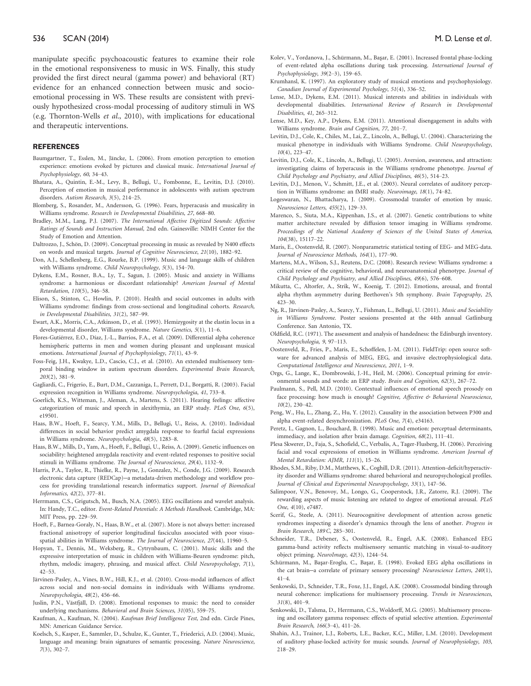<span id="page-7-0"></span>manipulate specific psychoacoustic features to examine their role in the emotional responsiveness to music in WS. Finally, this study provided the first direct neural (gamma power) and behavioral (RT) evidence for an enhanced connection between music and socioemotional processing in WS. These results are consistent with previously hypothesized cross-modal processing of auditory stimuli in WS (e.g. [Thornton-Wells](#page-8-0) et al., 2010), with implications for educational and therapeutic interventions.

#### **REFERENCES**

- Baumgartner, T., Esslen, M., Jäncke, L. (2006). From emotion perception to emotion experience: emotions evoked by pictures and classical music. International Journal of Psychophysiology, 60, 34–43.
- Bhatara, A., Quintin, E.-M., Levy, B., Bellugi, U., Fombonne, E., Levitin, D.J. (2010). Perception of emotion in musical performance in adolescents with autism spectrum disorders. Autism Research, 3(5), 214–25.
- Blomberg, S., Rosander, M., Andersson, G. (1996). Fears, hyperacusis and musicality in Williams syndrome. Research in Developmental Disabilities, 27, 668–80.
- Bradley, M.M., Lang, P.J. (2007). The International Affective Digitized Sounds: Affective Ratings of Sounds and Instruction Manual, 2nd edn. Gainesville: NIMH Center for the Study of Emotion and Attention.
- Daltrozzo, J., Schön, D. (2009). Conceptual processing in music as revealed by N400 effects on words and musical targets. Journal of Cognitive Neuroscience, 21(10), 1882–92.
- Don, A.J., Schellenberg, E.G., Rourke, B.P. (1999). Music and language skills of children with Williams syndrome. Child Neuropsychology, 5(3), 154–70.
- Dykens, E.M., Rosner, B.A., Ly, T., Sagun, J. (2005). Music and anxiety in Williams syndrome: a harmonious or discordant relationship? American Journal of Mental Retardation, 110(5), 346–58.
- Elison, S., Stinton, C., Howlin, P. (2010). Health and social outcomes in adults with Williams syndrome: findings from cross-sectional and longitudinal cohorts. Research, in Developmental Disabilities, 31(2), 587–99.
- Ewart, A.K., Morris, C.A., Atkinson, D., et al. (1993). Hemizygosity at the elastin locus in a developmental disorder, Williams syndrome. Nature Genetics, 5(1), 11–6.
- Flores-Gutiérrez, E.O., Díaz, J.-L., Barrios, F.A., et al. (2009). Differential alpha coherence hemispheric patterns in men and women during pleasant and unpleasant musical emotions. International Journal of Psychophysiology, 71(1), 43–9.
- Foss-Feig, J.H., Kwakye, L.D., Cascio, C.J., et al. (2010). An extended multisensory temporal binding window in autism spectrum disorders. Experimental Brain Research, 203(2), 381–9.
- Gagliardi, C., Frigerio, E., Burt, D.M., Cazzaniga, I., Perrett, D.I., Borgatti, R. (2003). Facial expression recognition in Williams syndrome. Neuropsychologia, 41, 733–8.
- Goerlich, K.S., Witteman, J., Aleman, A., Martens, S. (2011). Hearing feelings: affective categorization of music and speech in alexithymia, an ERP study. PLoS One, 6(5), e19501.
- Haas, B.W., Hoeft, F., Searcy, Y.M., Mills, D., Bellugi, U., Reiss, A. (2010). Individual differences in social behavior predict amygdala response to fearful facial expressions in Williams syndrome. Neuropsychologia, 48(5), 1283–8.
- Haas, B.W., Mills, D., Yam, A., Hoeft, F., Bellugi, U., Reiss, A. (2009). Genetic influences on sociability: heightened amygdala reactivity and event-related responses to positive social stimuli in Williams syndrome. The Journal of Neuroscience, 29(4), 1132-9.
- Harris, P.A., Taylor, R., Thielke, R., Payne, J., Gonzalez, N., Conde, J.G. (2009). Research electronic data capture (REDCap)-a metadata-driven methodology and workflow process for providing translational research informatics support. Journal of Biomedical Informatics, 42(2), 377–81.
- Herrmann, C.S., Grigutsch, M., Busch, N.A. (2005). EEG oscillations and wavelet analysis. In: Handy, T.C., editor. Event-Related Potentials: A Methods Handbook. Cambridge, MA: MIT Press, pp. 229–59.
- Hoeft, F., Barnea-Goraly, N., Haas, B.W., et al. (2007). More is not always better: increased fractional anisotropy of superior longitudinal fasciculus associated with poor visuospatial abilities in Williams syndrome. The Journal of Neuroscience, 27(44), 11960–5.
- Hopyan, T., Dennis, M., Weksberg, R., Cytrynbaum, C. (2001). Music skills and the expressive interpretation of music in children with Williams-Beuren syndrome: pitch, rhythm, melodic imagery, phrasing, and musical affect. Child Neuropsychology, 7(1), 42–53.
- Järvinen-Pasley, A., Vines, B.W., Hill, K.J., et al. (2010). Cross-modal influences of affect across social and non-social domains in individuals with Williams syndrome. Neuropsychologia, 48(2), 456–66.
- Juslin, P.N., Västfjäll, D. (2008). Emotional responses to music: the need to consider underlying mechanisms. Behavioral and Brain Sciences, 31(05), 559–75.
- Kaufman, A., Kaufman, N. (2004). Kaufman Brief Intelligence Test, 2nd edn. Circle Pines, MN: American Guidance Service.
- Koelsch, S., Kasper, E., Sammler, D., Schulze, K., Gunter, T., Friederici, A.D. (2004). Music, language and meaning: brain signatures of semantic processing. Nature Neuroscience, 7(3), 302–7.
- Kolev, V., Yordanova, J., Schürmann, M., Başar, E. (2001). Increased frontal phase-locking of event-related alpha oscillations during task processing. International Journal of Psychophysiology, 39(2–3), 159–65.
- Krumhansl, K. (1997). An exploratory study of musical emotions and psychophysiology. Canadian Journal of Experimental Psychology, 51(4), 336–52.
- Lense, M.D., Dykens, E.M. (2011). Musical interests and abilities in individuals with developmental disabilities. International Review of Research in Developmental Disabilities, 41, 265–312.
- Lense, M.D., Key, A.P., Dykens, E.M. (2011). Attentional disengagement in adults with Williams syndrome. Brain and Cognition, 77, 201–7.
- Levitin, D.J., Cole, K., Chiles, M., Lai, Z., Lincoln, A., Bellugi, U. (2004). Characterizing the musical phenotype in individuals with Williams Syndrome. Child Neuropsychology, 10(4), 223–47.
- Levitin, D.J., Cole, K., Lincoln, A., Bellugi, U. (2005). Aversion, awareness, and attraction: investigating claims of hyperacusis in the Williams syndrome phenotype. Journal of Child Psychology and Psychiatry, and Allied Disciplines, 46(5), 514–23.
- Levitin, D.J., Menon, V., Schmitt, J.E., et al. (2003). Neural correlates of auditory perception in Williams syndrome: an fMRI study. Neuroimage, 18(1), 74–82.
- Logeswaran, N., Bhattacharya, J. (2009). Crossmodal transfer of emotion by music. Neuroscience Letters, 455(2), 129–33.
- Marenco, S., Siuta, M.A., Kippenhan, J.S., et al. (2007). Genetic contributions to white matter architecture revealed by diffusion tensor imaging in Williams syndrome. Proceedings of the National Academy of Sciences of the United States of America, 104(38), 15117–22.
- Maris, E., Oostenveld, R. (2007). Nonparametric statistical testing of EEG- and MEG-data. Journal of Neuroscience Methods, 164(1), 177–90.
- Martens, M.A., Wilson, S.J., Reutens, D.C. (2008). Research review: Williams syndrome: a critical review of the cognitive, behavioral, and neuroanatomical phenotype. Journal of Child Psychology and Psychiatry, and Allied Disciplines, 49(6), 576–608.
- Mikutta, C., Altorfer, A., Strik, W., Koenig, T. (2012). Emotions, arousal, and frontal alpha rhythm asymmetry during Beethoven's 5th symphony. Brain Topography, 25, 423–30.
- Ng, R., Järvinen-Pasley, A., Searcy, Y., Fishman, L., Bellugi, U. (2011). Music and Sociability in Williams Syndrome. Poster sessions presented at the 44th annual Gatlinburg Conference. San Antonio, TX.
- Oldfield, R.C. (1971). The assessment and analysis of handedness: the Edinburgh inventory. Neuropsychologia, 9, 97–113.
- Oostenveld, R., Fries, P., Maris, E., Schoffelen, J.-M. (2011). FieldTrip: open source software for advanced analysis of MEG, EEG, and invasive electrophysiological data. Computational Intelligence and Neuroscience, 2011, 1–9.
- Orgs, G., Lange, K., Dombrowski, J.-H., Heil, M. (2006). Conceptual priming for environmental sounds and words: an ERP study. Brain and Cognition, 62(3), 267–72.
- Paulmann, S., Pell, M.D. (2010). Contextual influences of emotional speech prosody on face processing: how much is enough? Cognitive, Affective & Behavioral Neuroscience, 10(2), 230–42.
- Peng, W., Hu, L., Zhang, Z., Hu, Y. (2012). Causality in the association between P300 and alpha event-related desynchronization. PLoS One, 7(4), e34163.
- Peretz, I., Gagnon, L., Bouchard, B. (1998). Music and emotion: perceptual determinants, immediacy, and isolation after brain damage. Cognition, 68(2), 111–41.
- Plesa Skwerer, D., Faja, S., Schofield, C., Verbalis, A., Tager-Flusberg, H. (2006). Perceiving facial and vocal expressions of emotion in Williams syndrome. American Journal of Mental Retardation: AJMR, 111(1), 15–26.
- Rhodes, S.M., Riby, D.M., Matthews, K., Coghill, D.R. (2011). Attention-deficit/hyperactivity disorder and Williams syndrome: shared behavioral and neuropsychological profiles. Journal of Clinical and Experimental Neuropsychology, 33(1), 147–56.
- Salimpoor, V.N., Benovoy, M., Longo, G., Cooperstock, J.R., Zatorre, R.J. (2009). The rewarding aspects of music listening are related to degree of emotional arousal. PLoS One, 4(10), e7487.
- Scerif, G., Steele, A. (2011). Neurocognitive development of attention across genetic syndromes inspecting a disorder's dynamics through the lens of another. Progress in Brain Research, 189 C, 285–301.
- Schneider, T.R., Debener, S., Oostenveld, R., Engel, A.K. (2008). Enhanced EEG gamma-band activity reflects multisensory semantic matching in visual-to-auditory object priming. NeuroImage, 42(3), 1244–54.
- Schürmann, M., Başar-Eroglu, C., Başar, E. (1998). Evoked EEG alpha oscillations in the cat brain-a correlate of primary sensory processing? Neuroscience Letters, 240(1), 41–4.
- Senkowski, D., Schneider, T.R., Foxe, J.J., Engel, A.K. (2008). Crossmodal binding through neural coherence: implications for multisensory processing. Trends in Neurosciences,  $31(8)$ ,  $401-9$ .
- Senkowski, D., Talsma, D., Herrmann, C.S., Woldorff, M.G. (2005). Multisensory processing and oscillatory gamma responses: effects of spatial selective attention. Experimental Brain Research, 166(3–4), 411–26.
- Shahin, A.J., Trainor, L.J., Roberts, L.E., Backer, K.C., Miller, L.M. (2010). Development of auditory phase-locked activity for music sounds. Journal of Neurophysiology, 103, 218–29.